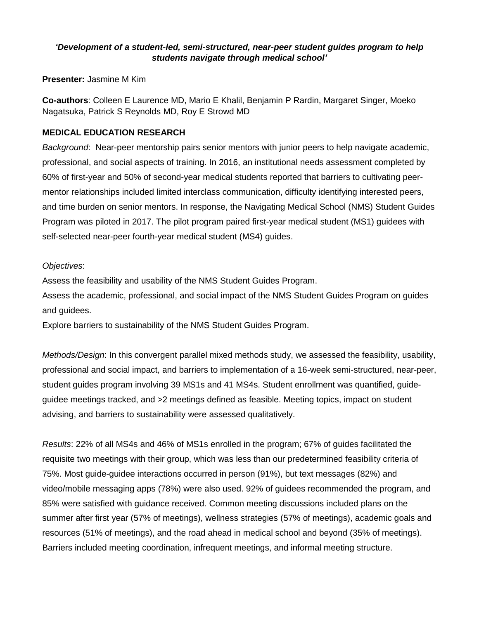## *'Development of a student-led, semi-structured, near-peer student guides program to help students navigate through medical school'*

**Presenter:** Jasmine M Kim

**Co-authors**: Colleen E Laurence MD, Mario E Khalil, Benjamin P Rardin, Margaret Singer, Moeko Nagatsuka, Patrick S Reynolds MD, Roy E Strowd MD

## **MEDICAL EDUCATION RESEARCH**

*Background*: Near-peer mentorship pairs senior mentors with junior peers to help navigate academic, professional, and social aspects of training. In 2016, an institutional needs assessment completed by 60% of first-year and 50% of second-year medical students reported that barriers to cultivating peermentor relationships included limited interclass communication, difficulty identifying interested peers, and time burden on senior mentors. In response, the Navigating Medical School (NMS) Student Guides Program was piloted in 2017. The pilot program paired first-year medical student (MS1) guidees with self-selected near-peer fourth-year medical student (MS4) guides.

## *Objectives*:

Assess the feasibility and usability of the NMS Student Guides Program.

Assess the academic, professional, and social impact of the NMS Student Guides Program on guides and guidees.

Explore barriers to sustainability of the NMS Student Guides Program.

*Methods/Design*: In this convergent parallel mixed methods study, we assessed the feasibility, usability, professional and social impact, and barriers to implementation of a 16-week semi-structured, near-peer, student guides program involving 39 MS1s and 41 MS4s. Student enrollment was quantified, guideguidee meetings tracked, and >2 meetings defined as feasible. Meeting topics, impact on student advising, and barriers to sustainability were assessed qualitatively.

*Results*: 22% of all MS4s and 46% of MS1s enrolled in the program; 67% of guides facilitated the requisite two meetings with their group, which was less than our predetermined feasibility criteria of 75%. Most guide-guidee interactions occurred in person (91%), but text messages (82%) and video/mobile messaging apps (78%) were also used. 92% of guidees recommended the program, and 85% were satisfied with guidance received. Common meeting discussions included plans on the summer after first year (57% of meetings), wellness strategies (57% of meetings), academic goals and resources (51% of meetings), and the road ahead in medical school and beyond (35% of meetings). Barriers included meeting coordination, infrequent meetings, and informal meeting structure.